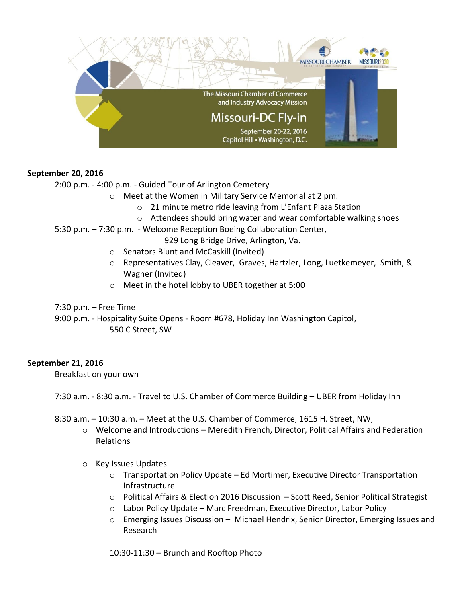

## **September 20, 2016**

2:00 p.m. - 4:00 p.m. - Guided Tour of Arlington Cemetery

- o Meet at the Women in Military Service Memorial at 2 pm.
	- o 21 minute metro ride leaving from L'Enfant Plaza Station
	- o Attendees should bring water and wear comfortable walking shoes
- 5:30 p.m. 7:30 p.m. Welcome Reception Boeing Collaboration Center,
	- 929 Long Bridge Drive, Arlington, Va.
	- o Senators Blunt and McCaskill (Invited)
	- o Representatives Clay, Cleaver, Graves, Hartzler, Long, Luetkemeyer, Smith, & Wagner (Invited)
	- o Meet in the hotel lobby to UBER together at 5:00

7:30 p.m. – Free Time

9:00 p.m. - Hospitality Suite Opens - Room #678, Holiday Inn Washington Capitol, 550 C Street, SW

## **September 21, 2016**

Breakfast on your own

7:30 a.m. - 8:30 a.m. - Travel to U.S. Chamber of Commerce Building – UBER from Holiday Inn

- 8:30 a.m. 10:30 a.m. Meet at the U.S. Chamber of Commerce, 1615 H. Street, NW,
	- $\circ$  Welcome and Introductions Meredith French, Director, Political Affairs and Federation Relations
	- o Key Issues Updates
		- $\circ$  Transportation Policy Update Ed Mortimer, Executive Director Transportation Infrastructure
		- o Political Affairs & Election 2016 Discussion Scott Reed, Senior Political Strategist
		- $\circ$  Labor Policy Update Marc Freedman, Executive Director, Labor Policy
		- o Emerging Issues Discussion Michael Hendrix, Senior Director, Emerging Issues and Research

10:30-11:30 – Brunch and Rooftop Photo